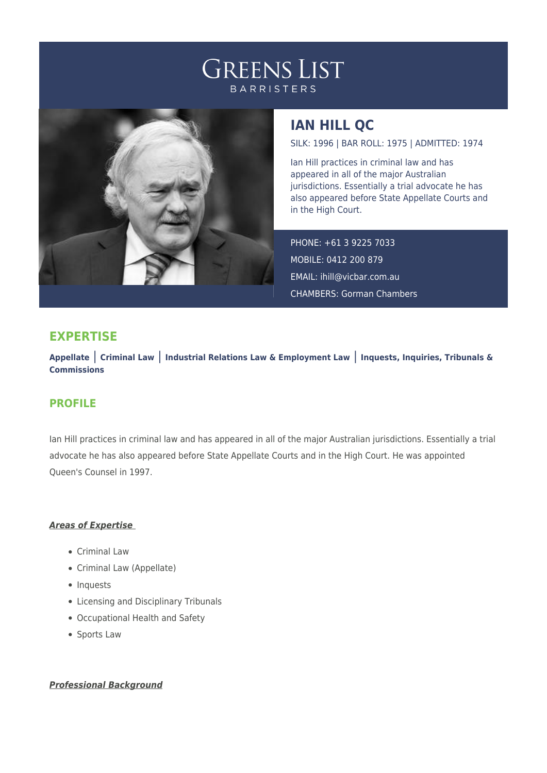# **GREENS LIST BARRISTERS**



## **IAN HILL QC**

SILK: 1996 | BAR ROLL: 1975 | ADMITTED: 1974

Ian Hill practices in criminal law and has appeared in all of the major Australian jurisdictions. Essentially a trial advocate he has also appeared before State Appellate Courts and in the High Court.

PHONE: +61 3 9225 7033 MOBILE: 0412 200 879 EMAIL: [ihill@vicbar.com.au](mailto:ihill@vicbar.com.au) CHAMBERS: Gorman Chambers

## **EXPERTISE**

**Appellate** | **Criminal Law** | **Industrial Relations Law & Employment Law** | **Inquests, Inquiries, Tribunals & Commissions**

### **PROFILE**

Ian Hill practices in criminal law and has appeared in all of the major Australian jurisdictions. Essentially a trial advocate he has also appeared before State Appellate Courts and in the High Court. He was appointed Queen's Counsel in 1997.

### *Areas of Expertise*

- Criminal Law
- Criminal Law (Appellate)
- Inquests
- Licensing and Disciplinary Tribunals
- Occupational Health and Safety
- Sports Law

### *Professional Background*